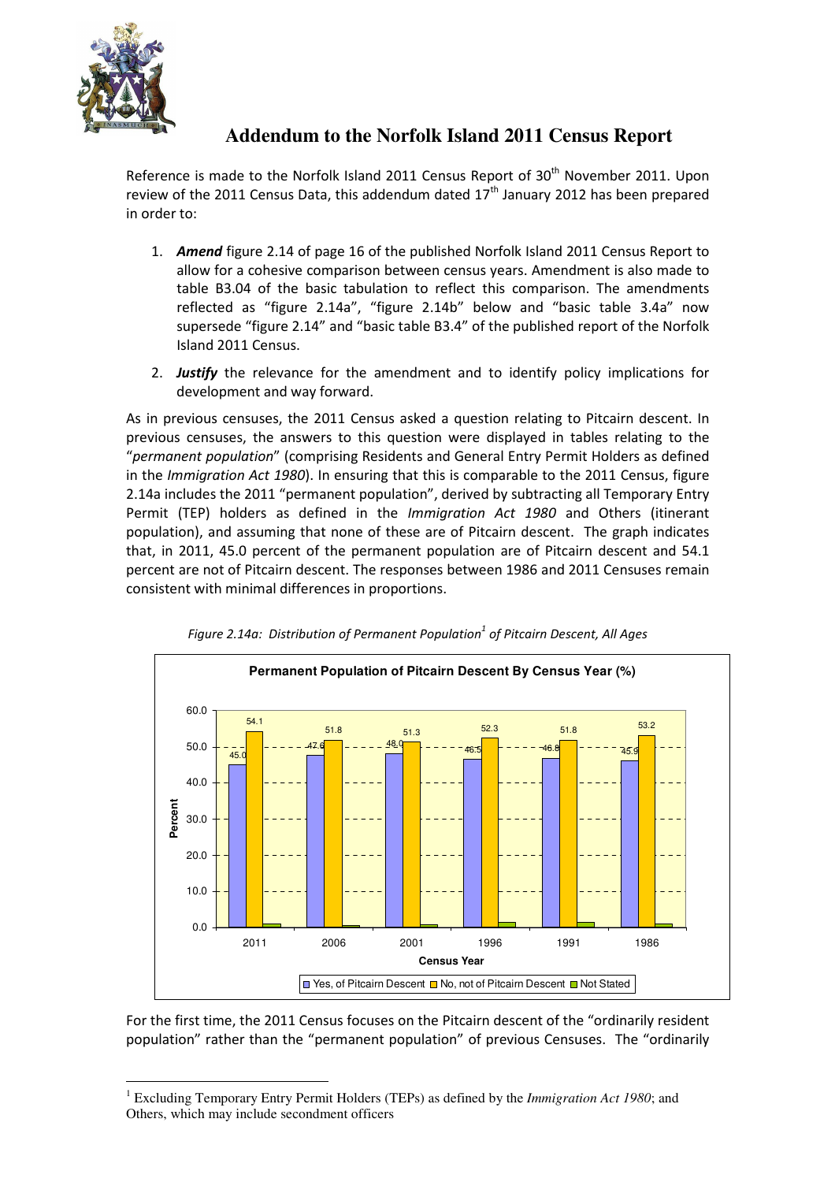

## **Addendum to the Norfolk Island 2011 Census Report**

Reference is made to the Norfolk Island 2011 Census Report of 30<sup>th</sup> November 2011. Upon review of the 2011 Census Data, this addendum dated  $17<sup>th</sup>$  January 2012 has been prepared in order to:

- 1. Amend figure 2.14 of page 16 of the published Norfolk Island 2011 Census Report to allow for a cohesive comparison between census years. Amendment is also made to table B3.04 of the basic tabulation to reflect this comparison. The amendments reflected as "figure 2.14a", "figure 2.14b" below and "basic table 3.4a" now supersede "figure 2.14" and "basic table B3.4" of the published report of the Norfolk Island 2011 Census.
- 2. Justify the relevance for the amendment and to identify policy implications for development and way forward.

As in previous censuses, the 2011 Census asked a question relating to Pitcairn descent. In previous censuses, the answers to this question were displayed in tables relating to the "permanent population" (comprising Residents and General Entry Permit Holders as defined in the *Immigration Act 1980*). In ensuring that this is comparable to the 2011 Census, figure 2.14a includes the 2011 "permanent population", derived by subtracting all Temporary Entry Permit (TEP) holders as defined in the Immigration Act 1980 and Others (itinerant population), and assuming that none of these are of Pitcairn descent. The graph indicates that, in 2011, 45.0 percent of the permanent population are of Pitcairn descent and 54.1 percent are not of Pitcairn descent. The responses between 1986 and 2011 Censuses remain consistent with minimal differences in proportions.



Figure 2.14a: Distribution of Permanent Population $^1$  of Pitcairn Descent, All Ages

For the first time, the 2011 Census focuses on the Pitcairn descent of the "ordinarily resident population" rather than the "permanent population" of previous Censuses. The "ordinarily

 $\overline{a}$ 1 Excluding Temporary Entry Permit Holders (TEPs) as defined by the *Immigration Act 1980*; and Others, which may include secondment officers